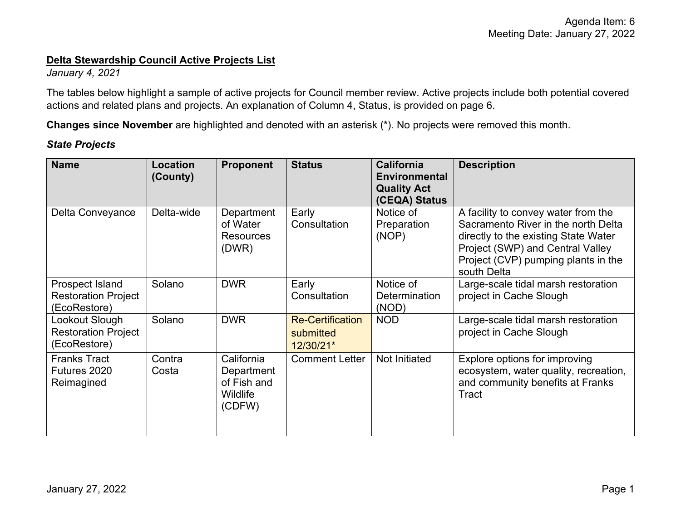#### **Delta Stewardship Council Active Projects List**

*January 4, 2021* 

 actions and related plans and projects. An explanation of Column 4, Status, is provided on page 6. The tables below highlight a sample of active projects for Council member review. Active projects include both potential covered

**Changes since November** are highlighted and denoted with an asterisk (\*). No projects were removed this month.

### *State Projects*

| <b>Name</b>                                                   | Location<br>(County) | <b>Proponent</b>                                                     | <b>Status</b>                                     | <b>California</b><br><b>Environmental</b><br><b>Quality Act</b><br>(CEQA) Status | <b>Description</b>                                                                                                                                                                                           |
|---------------------------------------------------------------|----------------------|----------------------------------------------------------------------|---------------------------------------------------|----------------------------------------------------------------------------------|--------------------------------------------------------------------------------------------------------------------------------------------------------------------------------------------------------------|
| Delta Conveyance                                              | Delta-wide           | Department<br>of Water<br><b>Resources</b><br>(DWR)                  | Early<br>Consultation                             | Notice of<br>Preparation<br>(NOP)                                                | A facility to convey water from the<br>Sacramento River in the north Delta<br>directly to the existing State Water<br>Project (SWP) and Central Valley<br>Project (CVP) pumping plants in the<br>south Delta |
| Prospect Island<br><b>Restoration Project</b><br>(EcoRestore) | Solano               | <b>DWR</b>                                                           | Early<br>Consultation                             | Notice of<br><b>Determination</b><br>(NOD)                                       | Large-scale tidal marsh restoration<br>project in Cache Slough                                                                                                                                               |
| Lookout Slough<br><b>Restoration Project</b><br>(EcoRestore)  | Solano               | <b>DWR</b>                                                           | <b>Re-Certification</b><br>submitted<br>12/30/21* | <b>NOD</b>                                                                       | Large-scale tidal marsh restoration<br>project in Cache Slough                                                                                                                                               |
| <b>Franks Tract</b><br>Futures 2020<br>Reimagined             | Contra<br>Costa      | California<br>Department<br>of Fish and<br><b>Wildlife</b><br>(CDFW) | <b>Comment Letter</b>                             | Not Initiated                                                                    | Explore options for improving<br>ecosystem, water quality, recreation,<br>and community benefits at Franks<br>Tract                                                                                          |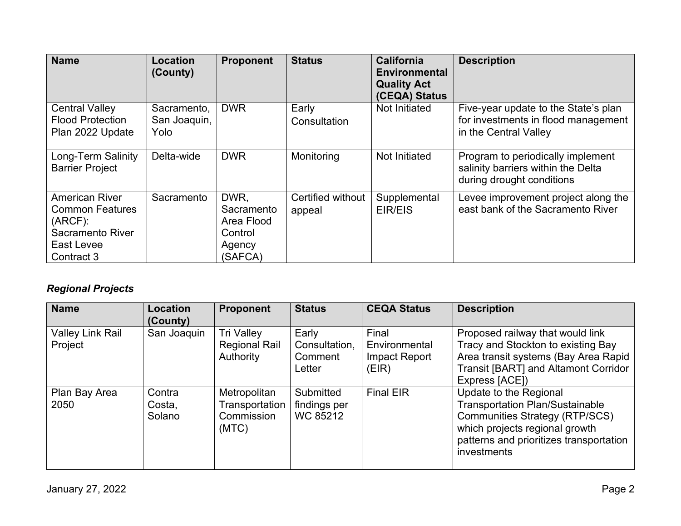| <b>Name</b>                                                                                                   | <b>Location</b><br>(County)         | <b>Proponent</b>                                                 | <b>Status</b>               | <b>California</b><br><b>Environmental</b><br><b>Quality Act</b><br>(CEQA) Status | <b>Description</b>                                                                                   |
|---------------------------------------------------------------------------------------------------------------|-------------------------------------|------------------------------------------------------------------|-----------------------------|----------------------------------------------------------------------------------|------------------------------------------------------------------------------------------------------|
| <b>Central Valley</b><br><b>Flood Protection</b><br>Plan 2022 Update                                          | Sacramento,<br>San Joaquin,<br>Yolo | <b>DWR</b>                                                       | Early<br>Consultation       | Not Initiated                                                                    | Five-year update to the State's plan<br>for investments in flood management<br>in the Central Valley |
| Long-Term Salinity<br><b>Barrier Project</b>                                                                  | Delta-wide                          | <b>DWR</b>                                                       | Monitoring                  | Not Initiated                                                                    | Program to periodically implement<br>salinity barriers within the Delta<br>during drought conditions |
| <b>American River</b><br><b>Common Features</b><br>$(ARCF)$ :<br>Sacramento River<br>East Levee<br>Contract 3 | Sacramento                          | DWR.<br>Sacramento<br>Area Flood<br>Control<br>Agency<br>(SAFCA) | Certified without<br>appeal | Supplemental<br>EIR/EIS                                                          | Levee improvement project along the<br>east bank of the Sacramento River                             |

# *Regional Projects*

| <b>Name</b>                        | Location<br>(County)       | <b>Proponent</b>                                        | <b>Status</b>                               | <b>CEQA Status</b>                               | <b>Description</b>                                                                                                                                                                                    |
|------------------------------------|----------------------------|---------------------------------------------------------|---------------------------------------------|--------------------------------------------------|-------------------------------------------------------------------------------------------------------------------------------------------------------------------------------------------------------|
| <b>Valley Link Rail</b><br>Project | San Joaquin                | <b>Tri Valley</b><br><b>Regional Rail</b><br>Authority  | Early<br>Consultation,<br>Comment<br>Letter | Final<br>Environmental<br>Impact Report<br>(EIR) | Proposed railway that would link<br>Tracy and Stockton to existing Bay<br>Area transit systems (Bay Area Rapid<br>Transit [BART] and Altamont Corridor<br>Express [ACE])                              |
| Plan Bay Area<br>2050              | Contra<br>Costa,<br>Solano | Metropolitan<br>Transportation  <br>Commission<br>(MTC) | Submitted<br>findings per<br>WC 85212       | <b>Final EIR</b>                                 | Update to the Regional<br><b>Transportation Plan/Sustainable</b><br><b>Communities Strategy (RTP/SCS)</b><br>which projects regional growth<br>patterns and prioritizes transportation<br>investments |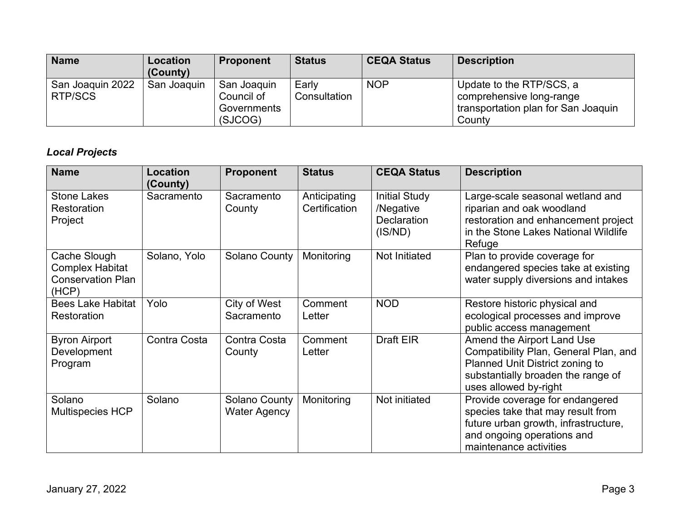| <b>Name</b>                        | Location<br>(County) | <b>Proponent</b>                                    | <b>Status</b>         | <b>CEQA Status</b> | <b>Description</b>                                                                                    |
|------------------------------------|----------------------|-----------------------------------------------------|-----------------------|--------------------|-------------------------------------------------------------------------------------------------------|
| San Joaquin 2022<br><b>RTP/SCS</b> | San Joaquin          | San Joaquin<br>Council of<br>Governments<br>(SJCOG) | Early<br>Consultation | <b>NOP</b>         | Update to the RTP/SCS, a<br>comprehensive long-range<br>transportation plan for San Joaquin<br>County |

## *Local Projects*

| <b>Name</b>                                                                 | <b>Location</b><br>(County) | <b>Proponent</b>                            | <b>Status</b>                 | <b>CEQA Status</b>                                                 | <b>Description</b>                                                                                                                                                    |
|-----------------------------------------------------------------------------|-----------------------------|---------------------------------------------|-------------------------------|--------------------------------------------------------------------|-----------------------------------------------------------------------------------------------------------------------------------------------------------------------|
| <b>Stone Lakes</b><br>Restoration<br>Project                                | Sacramento                  | Sacramento<br>County                        | Anticipating<br>Certification | <b>Initial Study</b><br>/Negative<br><b>Declaration</b><br>(IS/ND) | Large-scale seasonal wetland and<br>riparian and oak woodland<br>restoration and enhancement project<br>in the Stone Lakes National Wildlife<br>Refuge                |
| Cache Slough<br><b>Complex Habitat</b><br><b>Conservation Plan</b><br>(HCP) | Solano, Yolo                | Solano County                               | Monitoring                    | <b>Not Initiated</b>                                               | Plan to provide coverage for<br>endangered species take at existing<br>water supply diversions and intakes                                                            |
| <b>Bees Lake Habitat</b><br>Restoration                                     | Yolo                        | City of West<br>Sacramento                  | Comment<br>Letter             | <b>NOD</b>                                                         | Restore historic physical and<br>ecological processes and improve<br>public access management                                                                         |
| <b>Byron Airport</b><br>Development<br>Program                              | Contra Costa                | Contra Costa<br>County                      | Comment<br>Letter             | <b>Draft EIR</b>                                                   | Amend the Airport Land Use<br>Compatibility Plan, General Plan, and<br>Planned Unit District zoning to<br>substantially broaden the range of<br>uses allowed by-right |
| Solano<br><b>Multispecies HCP</b>                                           | Solano                      | <b>Solano County</b><br><b>Water Agency</b> | Monitoring                    | Not initiated                                                      | Provide coverage for endangered<br>species take that may result from<br>future urban growth, infrastructure,<br>and ongoing operations and<br>maintenance activities  |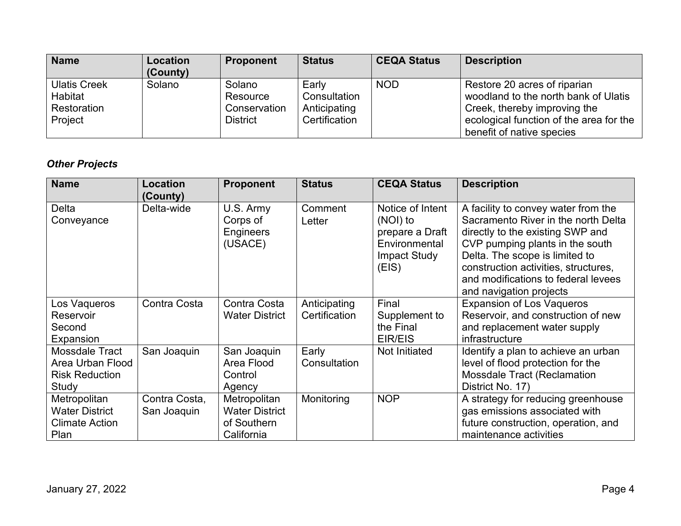| <b>Name</b>                                              | <b>Location</b><br>(County) | <b>Proponent</b>                               | <b>Status</b>                                          | <b>CEQA Status</b> | <b>Description</b>                                                                                                                                                           |
|----------------------------------------------------------|-----------------------------|------------------------------------------------|--------------------------------------------------------|--------------------|------------------------------------------------------------------------------------------------------------------------------------------------------------------------------|
| <b>Ulatis Creek</b><br>Habitat<br>Restoration<br>Project | Solano                      | Solano<br>Resource<br>Conservation<br>District | Early<br>Consultation<br>Anticipating<br>Certification | <b>NOD</b>         | Restore 20 acres of riparian<br>woodland to the north bank of Ulatis<br>Creek, thereby improving the<br>ecological function of the area for the<br>benefit of native species |

# *Other Projects*

| <b>Name</b>           | Location<br>(County) | <b>Proponent</b>                              | <b>Status</b>     | <b>CEQA Status</b>                                                                               | <b>Description</b>                                                                                                                                                                                                                                                                            |
|-----------------------|----------------------|-----------------------------------------------|-------------------|--------------------------------------------------------------------------------------------------|-----------------------------------------------------------------------------------------------------------------------------------------------------------------------------------------------------------------------------------------------------------------------------------------------|
| Delta<br>Conveyance   | Delta-wide           | U.S. Army<br>Corps of<br>Engineers<br>(USACE) | Comment<br>Letter | Notice of Intent<br>(NOI) to<br>prepare a Draft<br>Environmental<br><b>Impact Study</b><br>(EIS) | A facility to convey water from the<br>Sacramento River in the north Delta<br>directly to the existing SWP and<br>CVP pumping plants in the south<br>Delta. The scope is limited to<br>construction activities, structures,<br>and modifications to federal levees<br>and navigation projects |
| Los Vaqueros          | Contra Costa         | Contra Costa                                  | Anticipating      | Final                                                                                            | <b>Expansion of Los Vaqueros</b>                                                                                                                                                                                                                                                              |
| Reservoir             |                      | <b>Water District</b>                         | Certification     | Supplement to                                                                                    | Reservoir, and construction of new                                                                                                                                                                                                                                                            |
| Second                |                      |                                               |                   | the Final                                                                                        | and replacement water supply                                                                                                                                                                                                                                                                  |
| Expansion             |                      |                                               |                   | EIR/EIS                                                                                          | infrastructure                                                                                                                                                                                                                                                                                |
| Mossdale Tract        | San Joaquin          | San Joaquin                                   | Early             | Not Initiated                                                                                    | Identify a plan to achieve an urban                                                                                                                                                                                                                                                           |
| Area Urban Flood      |                      | Area Flood                                    | Consultation      |                                                                                                  | level of flood protection for the                                                                                                                                                                                                                                                             |
| <b>Risk Reduction</b> |                      | Control                                       |                   |                                                                                                  | <b>Mossdale Tract (Reclamation</b>                                                                                                                                                                                                                                                            |
| Study                 |                      | Agency                                        |                   |                                                                                                  | District No. 17)                                                                                                                                                                                                                                                                              |
| Metropolitan          | Contra Costa,        | Metropolitan                                  | Monitoring        | <b>NOP</b>                                                                                       | A strategy for reducing greenhouse                                                                                                                                                                                                                                                            |
| <b>Water District</b> | San Joaquin          | <b>Water District</b>                         |                   |                                                                                                  | gas emissions associated with                                                                                                                                                                                                                                                                 |
| <b>Climate Action</b> |                      | of Southern                                   |                   |                                                                                                  | future construction, operation, and                                                                                                                                                                                                                                                           |
| Plan                  |                      | California                                    |                   |                                                                                                  | maintenance activities                                                                                                                                                                                                                                                                        |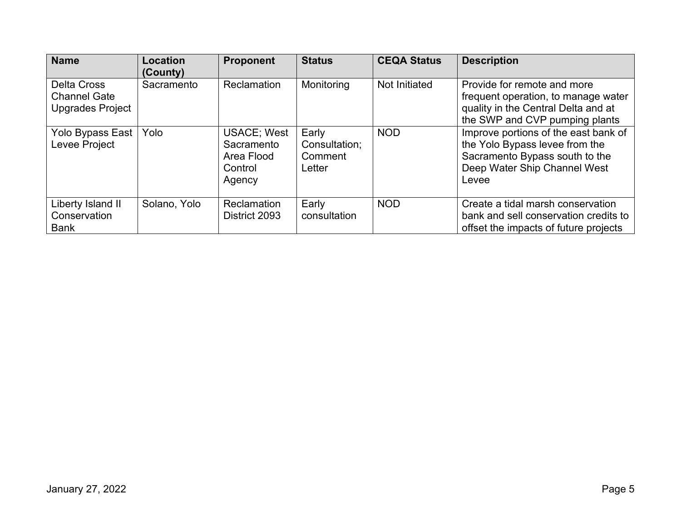| <b>Name</b>                                                   | Location<br>(County) | <b>Proponent</b>                                                     | <b>Status</b>                               | <b>CEQA Status</b> | <b>Description</b>                                                                                                                                |
|---------------------------------------------------------------|----------------------|----------------------------------------------------------------------|---------------------------------------------|--------------------|---------------------------------------------------------------------------------------------------------------------------------------------------|
| <b>Delta Cross</b><br><b>Channel Gate</b><br>Upgrades Project | Sacramento           | Reclamation                                                          | Monitoring                                  | Not Initiated      | Provide for remote and more<br>frequent operation, to manage water<br>quality in the Central Delta and at<br>the SWP and CVP pumping plants       |
| Yolo Bypass East<br>Levee Project                             | Yolo                 | <b>USACE</b> ; West<br>Sacramento<br>Area Flood<br>Control<br>Agency | Early<br>Consultation:<br>Comment<br>Letter | <b>NOD</b>         | Improve portions of the east bank of<br>the Yolo Bypass levee from the<br>Sacramento Bypass south to the<br>Deep Water Ship Channel West<br>Levee |
| Liberty Island II<br>Conservation<br><b>Bank</b>              | Solano, Yolo         | <b>Reclamation</b><br>District 2093                                  | Early<br>consultation                       | <b>NOD</b>         | Create a tidal marsh conservation<br>bank and sell conservation credits to<br>offset the impacts of future projects                               |